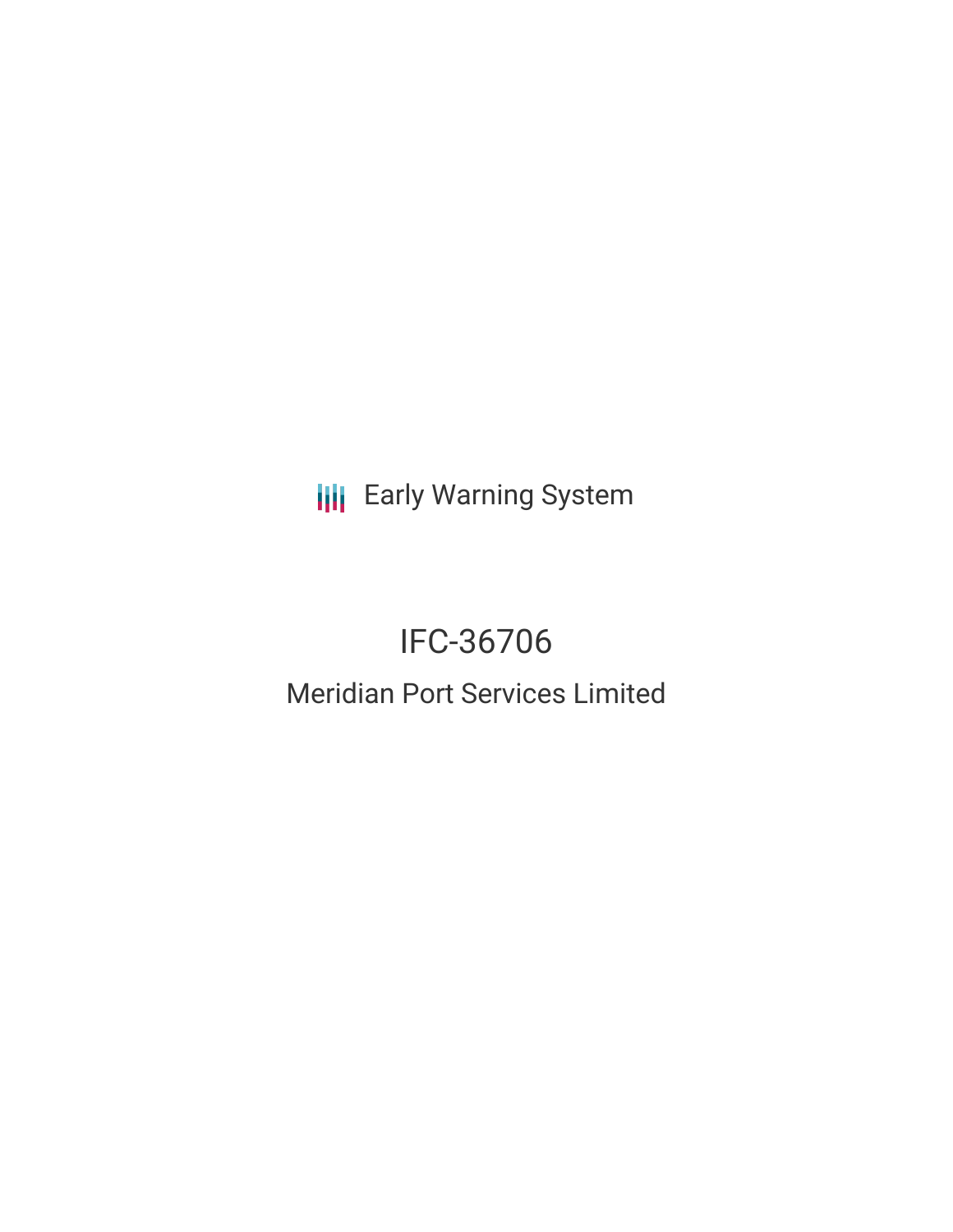**III** Early Warning System

# IFC-36706

# Meridian Port Services Limited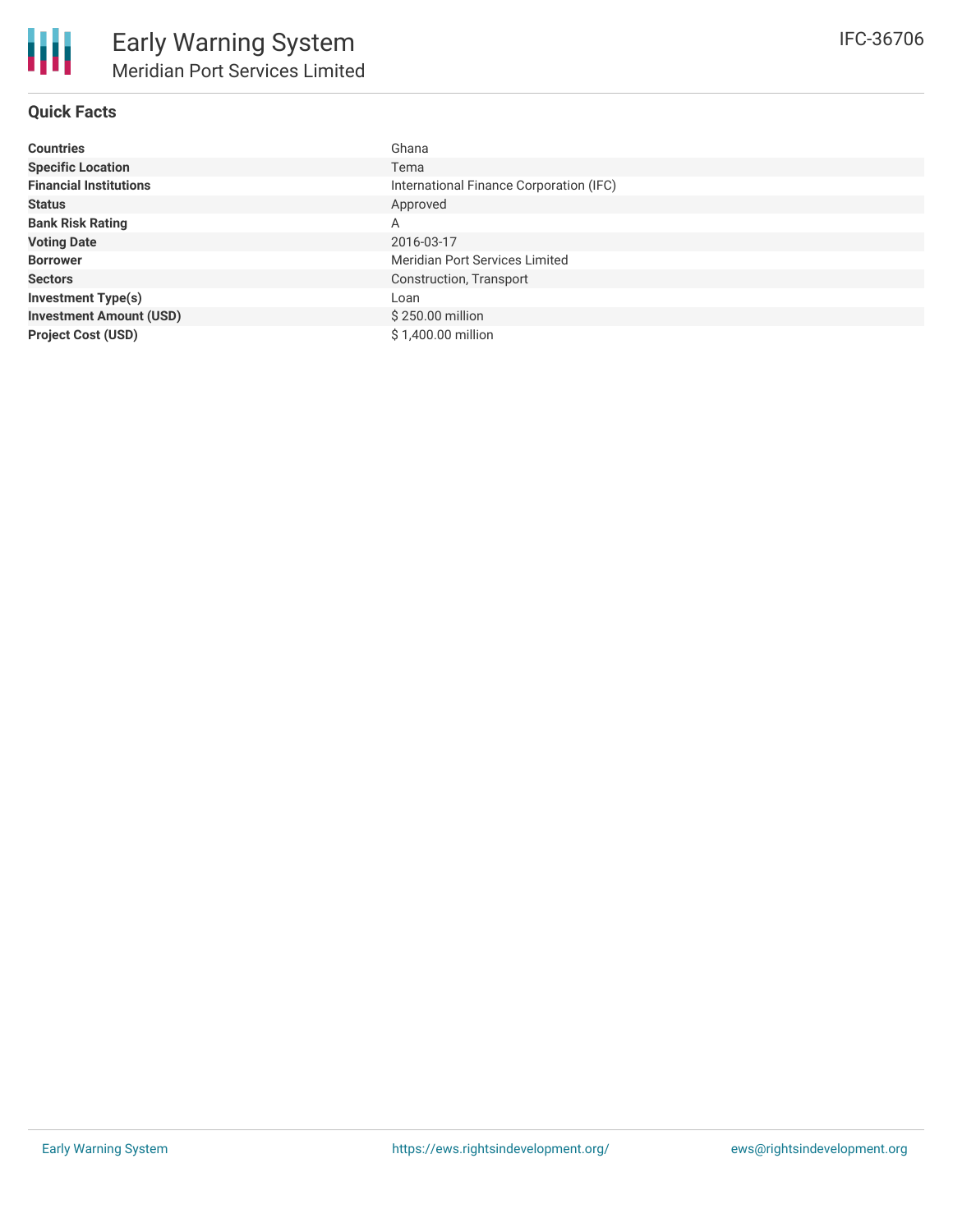# **Quick Facts**

| <b>Countries</b>               | Ghana                                   |
|--------------------------------|-----------------------------------------|
| <b>Specific Location</b>       | Tema                                    |
| <b>Financial Institutions</b>  | International Finance Corporation (IFC) |
| <b>Status</b>                  | Approved                                |
| <b>Bank Risk Rating</b>        | A                                       |
| <b>Voting Date</b>             | 2016-03-17                              |
| <b>Borrower</b>                | Meridian Port Services Limited          |
| <b>Sectors</b>                 | Construction, Transport                 |
| <b>Investment Type(s)</b>      | Loan                                    |
| <b>Investment Amount (USD)</b> | \$250.00 million                        |
| <b>Project Cost (USD)</b>      | \$1,400.00 million                      |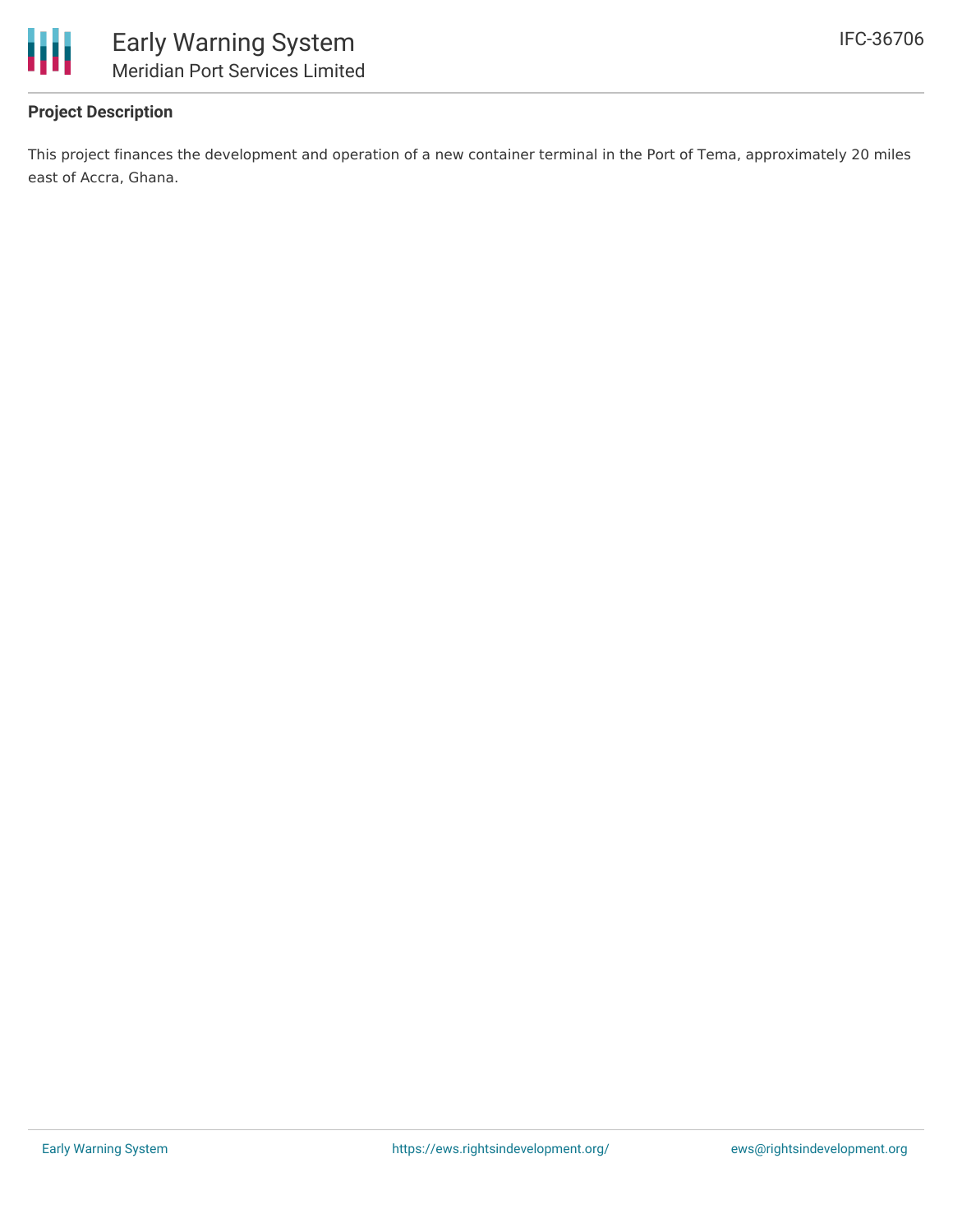

# **Project Description**

This project finances the development and operation of a new container terminal in the Port of Tema, approximately 20 miles east of Accra, Ghana.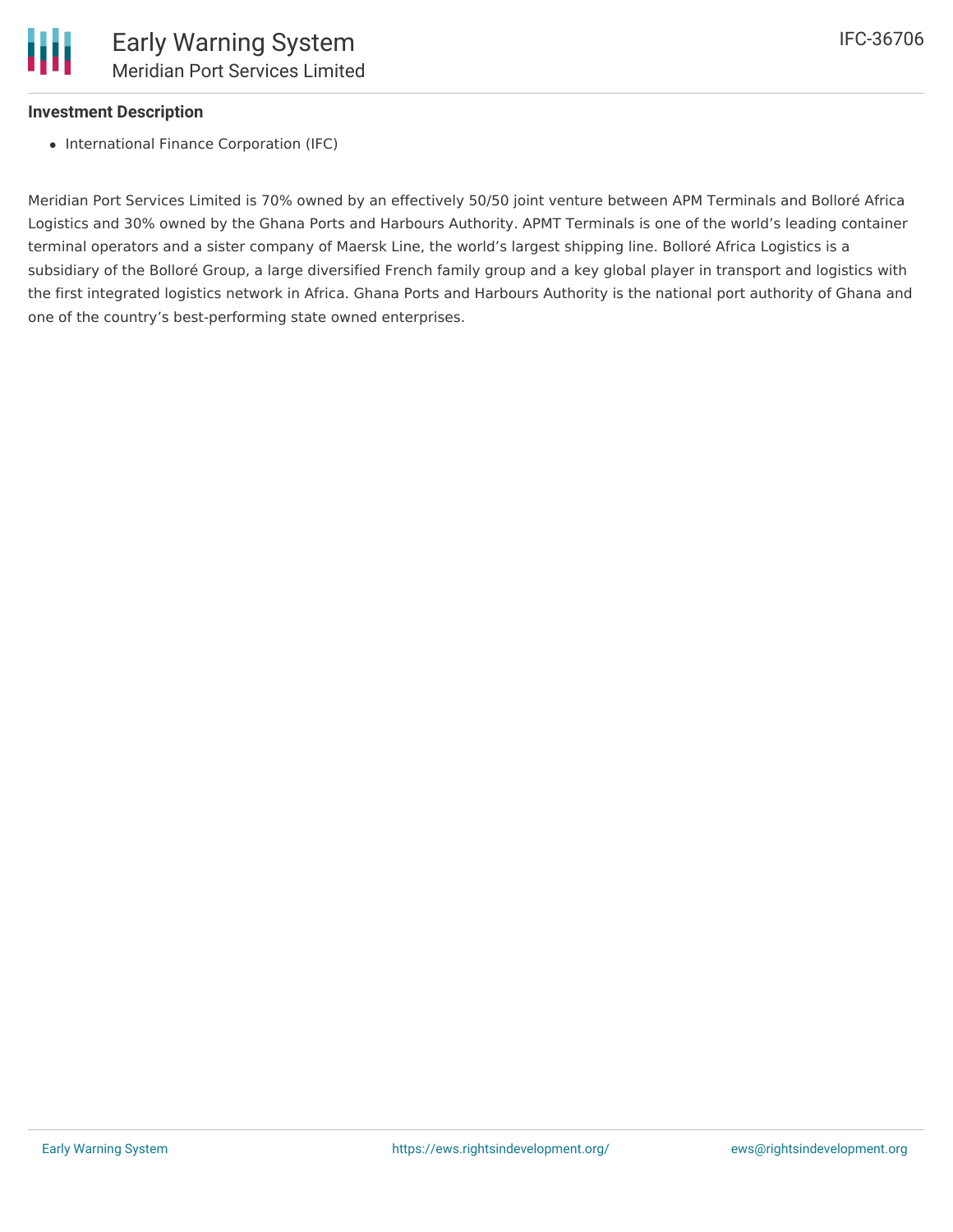

#### **Investment Description**

• International Finance Corporation (IFC)

Meridian Port Services Limited is 70% owned by an effectively 50/50 joint venture between APM Terminals and Bolloré Africa Logistics and 30% owned by the Ghana Ports and Harbours Authority. APMT Terminals is one of the world's leading container terminal operators and a sister company of Maersk Line, the world's largest shipping line. Bolloré Africa Logistics is a subsidiary of the Bolloré Group, a large diversified French family group and a key global player in transport and logistics with the first integrated logistics network in Africa. Ghana Ports and Harbours Authority is the national port authority of Ghana and one of the country's best-performing state owned enterprises.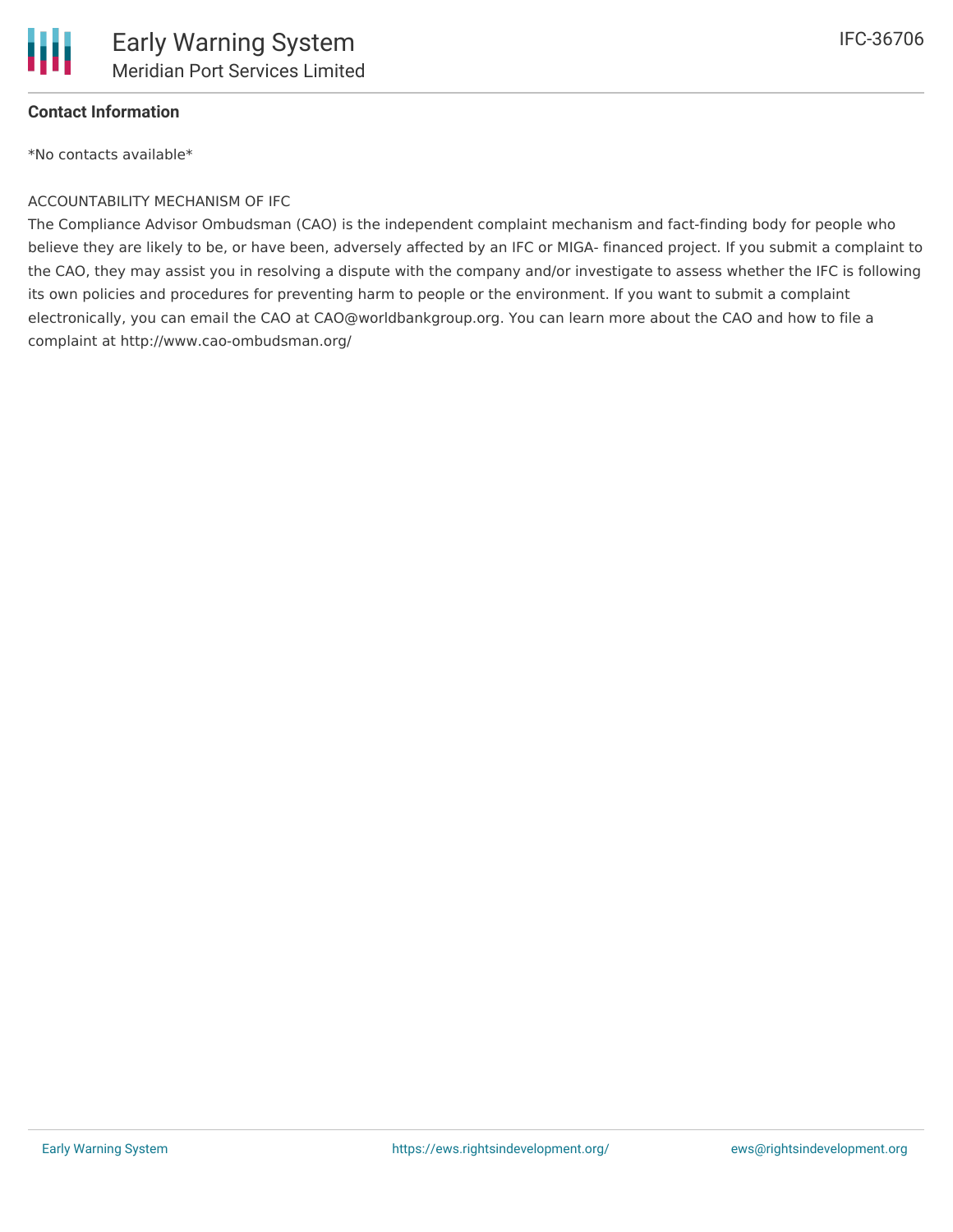

### **Contact Information**

\*No contacts available\*

#### ACCOUNTABILITY MECHANISM OF IFC

The Compliance Advisor Ombudsman (CAO) is the independent complaint mechanism and fact-finding body for people who believe they are likely to be, or have been, adversely affected by an IFC or MIGA- financed project. If you submit a complaint to the CAO, they may assist you in resolving a dispute with the company and/or investigate to assess whether the IFC is following its own policies and procedures for preventing harm to people or the environment. If you want to submit a complaint electronically, you can email the CAO at CAO@worldbankgroup.org. You can learn more about the CAO and how to file a complaint at http://www.cao-ombudsman.org/